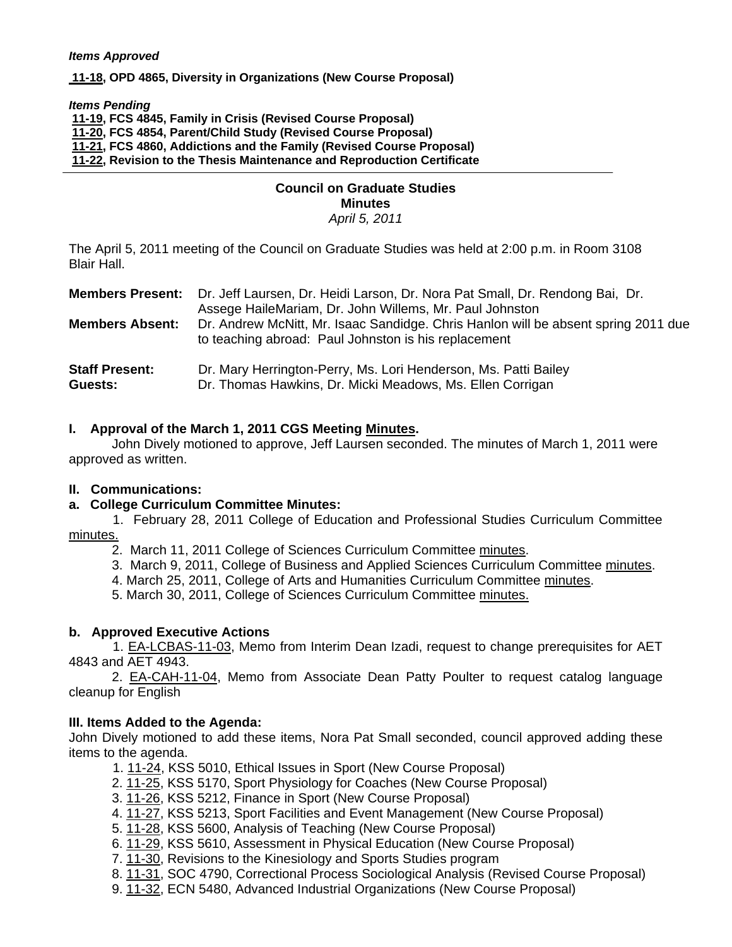#### *Items Approved*

 **[11-18, O](http://castle.eiu.edu/~eiucgs/currentagendaitems/agenda11-18.pdf)PD 4865, Diversity in Organizations (New Course Proposal)** 

*Items Pending*

**[11-19, F](http://castle.eiu.edu/~eiucgs/currentagendaitems/agenda11-19.pdf)CS 4845, Family in Crisis (Revised Course Proposal)** 

 **[11-20, F](http://castle.eiu.edu/~eiucgs/currentagendaitems/agenda11-20.pdf)CS 4854, Parent/Child Study (Revised Course Proposal)** 

 **[11-21, F](http://castle.eiu.edu/~eiucgs/currentagendaitems/agenda11-21.pdf)CS 4860, Addictions and the Family (Revised Course Proposal)** 

 **[11-22,](http://castle.eiu.edu/~eiucgs/currentagendaitems/agenda11-22.pdf) Revision to the Thesis Maintenance and Reproduction Certificate** 

#### **Council on Graduate Studies Minutes**  *April 5, 2011*

The April 5, 2011 meeting of the Council on Graduate Studies was held at 2:00 p.m. in Room 3108 Blair Hall.

|                                  | <b>Members Present:</b> Dr. Jeff Laursen, Dr. Heidi Larson, Dr. Nora Pat Small, Dr. Rendong Bai, Dr.<br>Assege HaileMariam, Dr. John Willems, Mr. Paul Johnston |
|----------------------------------|-----------------------------------------------------------------------------------------------------------------------------------------------------------------|
| <b>Members Absent:</b>           | Dr. Andrew McNitt, Mr. Isaac Sandidge. Chris Hanlon will be absent spring 2011 due<br>to teaching abroad: Paul Johnston is his replacement                      |
| <b>Staff Present:</b><br>Guests: | Dr. Mary Herrington-Perry, Ms. Lori Henderson, Ms. Patti Bailey<br>Dr. Thomas Hawkins, Dr. Micki Meadows, Ms. Ellen Corrigan                                    |

## **I. Approval of the March 1, 2011 CGS Meetin[g Minutes.](http://castle.eiu.edu/~eiucgs/currentminutes/Minutes3-1-11.pdf)**

 John Dively motioned to approve, Jeff Laursen seconded. The minutes of March 1, 2011 were approved as written.

### **II. Communications:**

### **a. College Curriculum Committee Minutes:**

 1. February 28, 2011 College of Education and Professional Studies Curriculum Committee [minutes.](http://castle.eiu.edu/~eiucgs/currentagendaitems/CEPSMin2-28-11.pdf)

2. March 11, 2011 College of Sciences Curriculum Committe[e minutes.](http://castle.eiu.edu/~eiucgs/currentagendaitems/COSMin3-11-11.pdf) 

3. March 9, 2011, College of Business and Applied Sciences Curriculum Committee minutes.

4. March 25, 2011, College of Arts and Humanities Curriculum Committe[e minutes.](http://castle.eiu.edu/~eiucgs/currentagendaitems/CAHMin3-25-11.pdf) 

5. March 30, 2011, College of Sciences Curriculum Committe[e minutes.](http://castle.eiu.edu/~eiucgs/currentagendaitems/COSMin3-30-11.pdf)

### **b. Approved Executive Actions**

 1[. EA-LCBAS-11-03,](http://castle.eiu.edu/~eiucgs/exec-actions/EA-LCBAS-11-03.pdf) Memo from Interim Dean Izadi, request to change prerequisites for AET 4843 and AET 4943.

2. [EA-CAH-11-04,](http://castle.eiu.edu/~eiucgs/exec-actions/EA-CAH-11-04.pdf) Memo from Associate Dean Patty Poulter to request catalog language cleanup for English

### **III. Items Added to the Agenda:**

John Dively motioned to add these items, Nora Pat Small seconded, council approved adding these items to the agenda.

1. [11-24, K](http://castle.eiu.edu/~eiucgs/currentagendaitems/agenda11-24.pdf)SS 5010, Ethical Issues in Sport (New Course Proposal)

2. [11-25, KS](http://castle.eiu.edu/~eiucgs/currentagendaitems/agenda11-25.pdf)S 5170, Sport Physiology for Coaches (New Course Proposal)

3. [11-26,](http://castle.eiu.edu/~eiucgs/currentagendaitems/agenda11-26.pdf) KSS 5212, Finance in Sport (New Course Proposal)

4. [11-27,](http://castle.eiu.edu/~eiucgs/currentagendaitems/agenda11-27.pdf) KSS 5213, Sport Facilities and Event Management (New Course Proposal)

5. [11-28,](http://castle.eiu.edu/~eiucgs/currentagendaitems/agenda11-28.pdf) KSS 5600, Analysis of Teaching (New Course Proposal)

6. [11-29, KS](http://castle.eiu.edu/~eiucgs/currentagendaitems/agenda11-29.pdf)S 5610, Assessment in Physical Education (New Course Proposal)

7. [11-30,](http://castle.eiu.edu/~eiucgs/currentagendaitems/agenda11-30.pdf) Revisions to the Kinesiology and Sports Studies program

8. [11-31, S](http://castle.eiu.edu/~eiucgs/currentagendaitems/agenda11-31.pdf)OC 4790, Correctional Process Sociological Analysis (Revised Course Proposal)

9. [11-32, E](http://castle.eiu.edu/~eiucgs/currentagendaitems/agenda11-32.pdf)CN 5480, Advanced Industrial Organizations (New Course Proposal)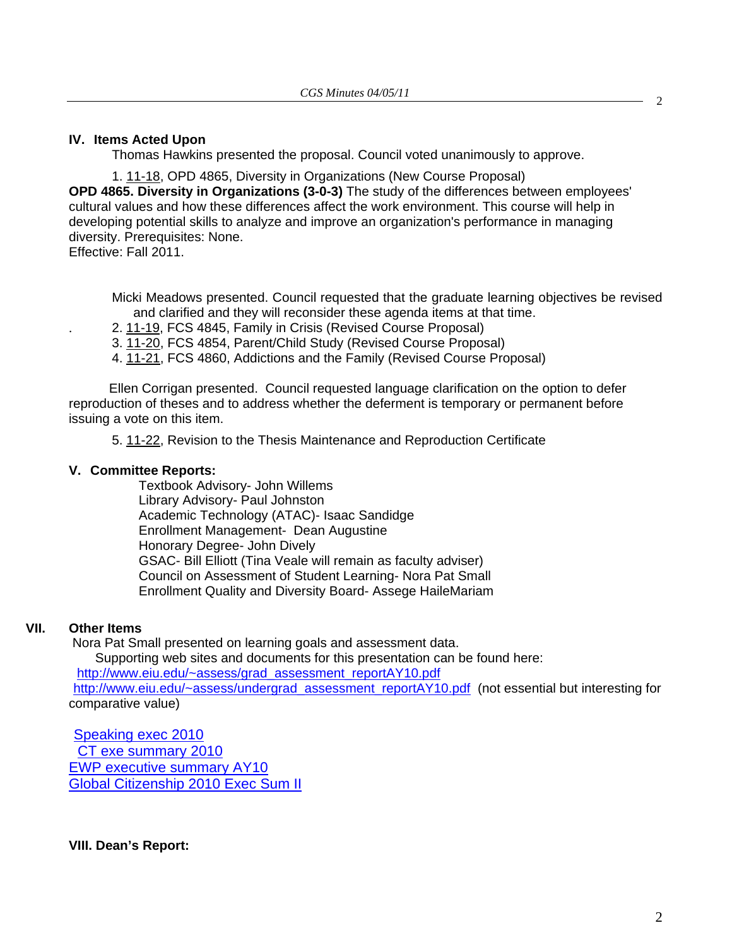### **IV. Items Acted Upon**

Thomas Hawkins presented the proposal. Council voted unanimously to approve.

 1[. 11-18, O](http://castle.eiu.edu/~eiucgs/currentagendaitems/agenda11-18.pdf)PD 4865, Diversity in Organizations (New Course Proposal) **OPD 4865. Diversity in Organizations (3-0-3)** The study of the differences between employees' cultural values and how these differences affect the work environment. This course will help in developing potential skills to analyze and improve an organization's performance in managing diversity. Prerequisites: None.

Effective: Fall 2011.

Micki Meadows presented. Council requested that the graduate learning objectives be revised and clarified and they will reconsider these agenda items at that time.

. 2. [11-19,](http://castle.eiu.edu/~eiucgs/currentagendaitems/agenda11-19.pdf) FCS 4845, Family in Crisis (Revised Course Proposal)

3. [11-20,](http://castle.eiu.edu/~eiucgs/currentagendaitems/agenda11-20.pdf) FCS 4854, Parent/Child Study (Revised Course Proposal)

4. [11-21, F](http://castle.eiu.edu/~eiucgs/currentagendaitems/agenda11-21.pdf)CS 4860, Addictions and the Family (Revised Course Proposal)

 Ellen Corrigan presented. Council requested language clarification on the option to defer reproduction of theses and to address whether the deferment is temporary or permanent before issuing a vote on this item.

[5. 11-22, R](http://castle.eiu.edu/~eiucgs/currentagendaitems/agenda11-22.pdf)evision to the Thesis Maintenance and Reproduction Certificate

#### **V. Committee Reports:**

Textbook Advisory- John Willems Library Advisory- Paul Johnston Academic Technology (ATAC)- Isaac Sandidge Enrollment Management- Dean Augustine Honorary Degree- John Dively GSAC- Bill Elliott (Tina Veale will remain as faculty adviser) Council on Assessment of Student Learning- Nora Pat Small Enrollment Quality and Diversity Board- Assege HaileMariam

# **VII. Other Items**

Nora Pat Small presented on learning goals and assessment data.

Supporting web sites and documents for this presentation can be found here:

[http://www.eiu.edu/~assess/grad\\_assessment\\_reportAY10.pdf](http://www.eiu.edu/~assess/grad_assessment_reportAY10.pdf)

 [http://www.eiu.edu/~assess/undergrad\\_assessment\\_reportAY10.pdf \(](http://www.eiu.edu/~assess/undergrad_assessment_reportAY10.pdf)not essential but interesting for comparative value)

 [Speaking exec 2010](http://castle.eiu.edu/~eiucgs/currentagendaitems/Speakingexec2010.pdf) [CT exe summary 2010](http://castle.eiu.edu/~eiucgs/currentagendaitems/CTexesummary2010.pdf) [EWP executive summary AY10](http://castle.eiu.edu/~eiucgs/currentagendaitems/EWPexecsummAY10.pdf) [Global Citizenship 2010 Exec Sum II](http://castle.eiu.edu/~eiucgs/currentagendaitems/GlobalCitizenship2010.pdf)

**VIII. Dean's Report:** 

 $\mathcal{L}$ 

2